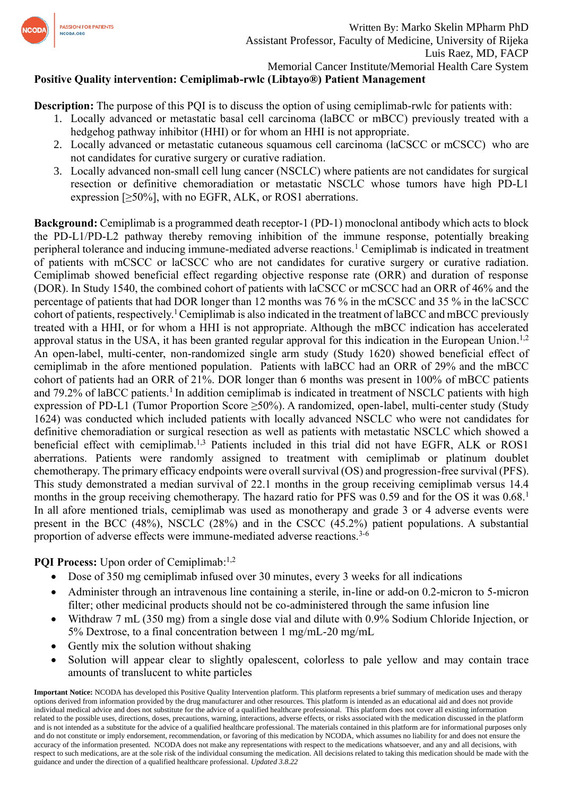

## **Positive Quality intervention: Cemiplimab-rwlc (Libtayo®) Patient Management**

**Description:** The purpose of this PQI is to discuss the option of using cemiplimab-rwlc for patients with:

- 1. Locally advanced or metastatic basal cell carcinoma (laBCC or mBCC) previously treated with a hedgehog pathway inhibitor (HHI) or for whom an HHI is not appropriate.
- 2. Locally advanced or metastatic cutaneous squamous cell carcinoma (laCSCC or mCSCC) who are not candidates for curative surgery or curative radiation.
- 3. Locally advanced non-small cell lung cancer (NSCLC) where patients are not candidates for surgical resection or definitive chemoradiation or metastatic NSCLC whose tumors have high PD-L1 expression [≥50%], with no EGFR, ALK, or ROS1 aberrations.

**Background:** Cemiplimab is a programmed death receptor-1 (PD-1) monoclonal antibody which acts to block the PD-L1/PD-L2 pathway thereby removing inhibition of the immune response, potentially breaking peripheral tolerance and inducing immune-mediated adverse reactions.<sup>1</sup> Cemiplimab is indicated in treatment of patients with mCSCC or laCSCC who are not candidates for curative surgery or curative radiation. Cemiplimab showed beneficial effect regarding objective response rate (ORR) and duration of response (DOR). In Study 1540, the combined cohort of patients with laCSCC or mCSCC had an ORR of 46% and the percentage of patients that had DOR longer than 12 months was 76 % in the mCSCC and 35 % in the laCSCC cohort of patients, respectively.<sup>1</sup> Cemiplimab is also indicated in the treatment of laBCC and mBCC previously treated with a HHI, or for whom a HHI is not appropriate. Although the mBCC indication has accelerated approval status in the USA, it has been granted regular approval for this indication in the European Union.<sup>1,2</sup> An open-label, multi-center, non-randomized single arm study (Study 1620) showed beneficial effect of cemiplimab in the afore mentioned population. Patients with laBCC had an ORR of 29% and the mBCC cohort of patients had an ORR of 21%. DOR longer than 6 months was present in 100% of mBCC patients and 79.2% of laBCC patients.<sup>1</sup> In addition cemiplimab is indicated in treatment of NSCLC patients with high expression of PD-L1 (Tumor Proportion Score ≥50%). A randomized, open-label, multi-center study (Study 1624) was conducted which included patients with locally advanced NSCLC who were not candidates for definitive chemoradiation or surgical resection as well as patients with metastatic NSCLC which showed a beneficial effect with cemiplimab.<sup>1,3</sup> Patients included in this trial did not have EGFR, ALK or ROS1 aberrations. Patients were randomly assigned to treatment with cemiplimab or platinum doublet chemotherapy. The primary efficacy endpoints were overall survival (OS) and progression-free survival (PFS). This study demonstrated a median survival of 22.1 months in the group receiving cemiplimab versus 14.4 months in the group receiving chemotherapy. The hazard ratio for PFS was 0.59 and for the OS it was 0.68.<sup>1</sup> In all afore mentioned trials, cemiplimab was used as monotherapy and grade 3 or 4 adverse events were present in the BCC (48%), NSCLC (28%) and in the CSCC (45.2%) patient populations. A substantial proportion of adverse effects were immune-mediated adverse reactions.<sup>3-6</sup>

PQI Process: Upon order of Cemiplimab:<sup>1,2</sup>

- Dose of 350 mg cemiplimab infused over 30 minutes, every 3 weeks for all indications
- Administer through an intravenous line containing a sterile, in-line or add-on 0.2-micron to 5-micron filter; other medicinal products should not be co-administered through the same infusion line
- Withdraw 7 mL (350 mg) from a single dose vial and dilute with 0.9% Sodium Chloride Injection, or 5% Dextrose, to a final concentration between 1 mg/mL-20 mg/mL
- Gently mix the solution without shaking
- Solution will appear clear to slightly opalescent, colorless to pale yellow and may contain trace amounts of translucent to white particles

**Important Notice:** NCODA has developed this Positive Quality Intervention platform. This platform represents a brief summary of medication uses and therapy options derived from information provided by the drug manufacturer and other resources. This platform is intended as an educational aid and does not provide individual medical advice and does not substitute for the advice of a qualified healthcare professional. This platform does not cover all existing information related to the possible uses, directions, doses, precautions, warning, interactions, adverse effects, or risks associated with the medication discussed in the platform and is not intended as a substitute for the advice of a qualified healthcare professional. The materials contained in this platform are for informational purposes only and do not constitute or imply endorsement, recommendation, or favoring of this medication by NCODA, which assumes no liability for and does not ensure the accuracy of the information presented. NCODA does not make any representations with respect to the medications whatsoever, and any and all decisions, with respect to such medications, are at the sole risk of the individual consuming the medication. All decisions related to taking this medication should be made with the guidance and under the direction of a qualified healthcare professional. *Updated 3.8.22*